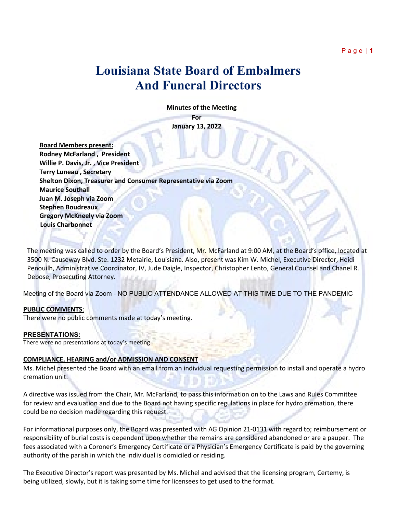# **Louisiana State Board of Embalmers And Funeral Directors**

 **Minutes of the Meeting**

**For January 13, 2022**

 **Board Members present: Rodney McFarland , President Willie P. Davis, Jr. , Vice President Terry Luneau , Secretary Shelton Dixon, Treasurer and Consumer Representative via Zoom Maurice Southall Juan M. Joseph via Zoom Stephen Boudreaux Gregory McKneely via Zoom Louis Charbonnet**

The meeting was called to order by the Board's President, Mr. McFarland at 9:00 AM, at the Board's office, located at 3500 N. Causeway Blvd. Ste. 1232 Metairie, Louisiana. Also, present was Kim W. Michel, Executive Director, Heidi Penouilh, Administrative Coordinator, IV, Jude Daigle, Inspector, Christopher Lento, General Counsel and Chanel R. Debose, Prosecuting Attorney.

Meeting of the Board via Zoom - NO PUBLIC ATTENDANCE ALLOWED AT THIS TIME DUE TO THE PANDEMIC

### **PUBLIC COMMENTS**:

There were no public comments made at today's meeting.

# **PRESENTATIONS:**

There were no presentations at today's meeting

### **COMPLIANCE, HEARING and/or ADMISSION AND CONSENT**

Ms. Michel presented the Board with an email from an individual requesting permission to install and operate a hydro cremation unit.

A directive was issued from the Chair, Mr. McFarland, to pass this information on to the Laws and Rules Committee for review and evaluation and due to the Board not having specific regulations in place for hydro cremation, there could be no decision made regarding this request.

For informational purposes only, the Board was presented with AG Opinion 21-0131 with regard to; reimbursement or responsibility of burial costs is dependent upon whether the remains are considered abandoned or are a pauper. The fees associated with a Coroner's Emergency Certificate or a Physician's Emergency Certificate is paid by the governing authority of the parish in which the individual is domiciled or residing.

The Executive Director's report was presented by Ms. Michel and advised that the licensing program, Certemy, is being utilized, slowly, but it is taking some time for licensees to get used to the format.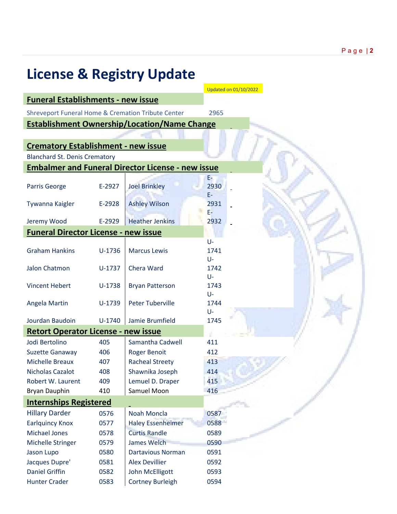| <b>License &amp; Registry Update</b>                          |          |                                                          |                       |  |  |  |  |
|---------------------------------------------------------------|----------|----------------------------------------------------------|-----------------------|--|--|--|--|
|                                                               |          |                                                          | Updated on 01/10/2022 |  |  |  |  |
| <b>Funeral Establishments - new issue</b>                     |          |                                                          |                       |  |  |  |  |
| <b>Shreveport Funeral Home &amp; Cremation Tribute Center</b> |          |                                                          | 2965                  |  |  |  |  |
|                                                               |          | <b>Establishment Ownership/Location/Name Change</b>      |                       |  |  |  |  |
|                                                               |          |                                                          |                       |  |  |  |  |
| <b>Crematory Establishment - new issue</b>                    |          |                                                          |                       |  |  |  |  |
| <b>Blanchard St. Denis Crematory</b>                          |          |                                                          |                       |  |  |  |  |
|                                                               |          | <b>Embalmer and Funeral Director License - new issue</b> |                       |  |  |  |  |
|                                                               |          |                                                          | E-                    |  |  |  |  |
| <b>Parris George</b>                                          | E-2927   | <b>Joel Brinkley</b>                                     | 2930                  |  |  |  |  |
|                                                               |          |                                                          | E-                    |  |  |  |  |
| Tywanna Kaigler                                               | E-2928   | <b>Ashley Wilson</b>                                     | 2931                  |  |  |  |  |
|                                                               |          |                                                          | E-                    |  |  |  |  |
| Jeremy Wood                                                   | E-2929   | <b>Heather Jenkins</b>                                   | 2932                  |  |  |  |  |
| <b>Funeral Director License - new issue</b>                   |          |                                                          |                       |  |  |  |  |
|                                                               |          |                                                          | U-                    |  |  |  |  |
| <b>Graham Hankins</b>                                         | $U-1736$ | <b>Marcus Lewis</b>                                      | 1741                  |  |  |  |  |
| <b>Jalon Chatmon</b>                                          |          | Chera Ward                                               | U-<br>1742            |  |  |  |  |
|                                                               | $U-1737$ |                                                          | U-                    |  |  |  |  |
| <b>Vincent Hebert</b>                                         | $U-1738$ | <b>Bryan Patterson</b>                                   | 1743                  |  |  |  |  |
|                                                               |          |                                                          | U-                    |  |  |  |  |
| Angela Martin                                                 | $U-1739$ | <b>Peter Tuberville</b>                                  | 1744                  |  |  |  |  |
|                                                               |          |                                                          | U-                    |  |  |  |  |
| Jourdan Baudoin                                               | $U-1740$ | Jamie Brumfield                                          | 1745                  |  |  |  |  |
| <b>Retort Operator License - new issue</b>                    |          |                                                          |                       |  |  |  |  |
| Jodi Bertolino                                                | 405      | Samantha Cadwell                                         | 411                   |  |  |  |  |
| <b>Suzette Ganaway</b>                                        | 406      | <b>Roger Benoit</b>                                      | 412                   |  |  |  |  |
| <b>Michelle Breaux</b>                                        | 407      | <b>Racheal Streety</b>                                   | 413                   |  |  |  |  |
| <b>Nicholas Cazalot</b>                                       | 408      | Shawnika Joseph                                          | 414                   |  |  |  |  |
| Robert W. Laurent                                             | 409      | Lemuel D. Draper                                         | 415                   |  |  |  |  |
| Bryan Dauphin                                                 | 410      | Samuel Moon                                              | 416                   |  |  |  |  |
| <b>Internships Registered</b>                                 |          |                                                          |                       |  |  |  |  |
| <b>Hillary Darder</b>                                         | 0576     | <b>Noah Moncla</b>                                       | 0587                  |  |  |  |  |
| <b>Earlquincy Knox</b>                                        | 0577     | <b>Haley Essenheimer</b>                                 | 0588                  |  |  |  |  |
| <b>Michael Jones</b>                                          | 0578     | <b>Curtis Randle</b>                                     | 0589                  |  |  |  |  |
| <b>Michelle Stringer</b>                                      | 0579     | <b>James Welch</b>                                       | 0590                  |  |  |  |  |
| Jason Lupo                                                    | 0580     | <b>Dartavious Norman</b>                                 | 0591                  |  |  |  |  |
| Jacques Dupre'                                                | 0581     | <b>Alex Devillier</b>                                    | 0592                  |  |  |  |  |
| <b>Daniel Griffin</b>                                         | 0582     | John McElligott                                          | 0593                  |  |  |  |  |
| <b>Hunter Crader</b>                                          | 0583     | <b>Cortney Burleigh</b>                                  | 0594                  |  |  |  |  |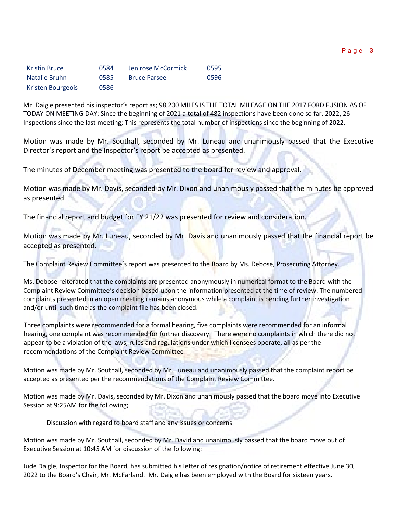|--|--|

| <b>Kristin Bruce</b> | 0584 | Jenirose McCormick  | 0595 |
|----------------------|------|---------------------|------|
| Natalie Bruhn        | 0585 | <b>Bruce Parsee</b> | 0596 |
| Kristen Bourgeois    | 0586 |                     |      |

Mr. Daigle presented his inspector's report as; 98,200 MILES IS THE TOTAL MILEAGE ON THE 2017 FORD FUSION AS OF TODAY ON MEETING DAY; Since the beginning of 2021 a total of 482 inspections have been done so far. 2022, 26 Inspections since the last meeting; This represents the total number of inspections since the beginning of 2022.

Motion was made by Mr. Southall, seconded by Mr. Luneau and unanimously passed that the Executive Director's report and the Inspector's report be accepted as presented.

The minutes of December meeting was presented to the board for review and approval.

Motion was made by Mr. Davis, seconded by Mr. Dixon and unanimously passed that the minutes be approved as presented.

The financial report and budget for FY 21/22 was presented for review and consideration.

Motion was made by Mr. Luneau, seconded by Mr. Davis and unanimously passed that the financial report be accepted as presented.

The Complaint Review Committee's report was presented to the Board by Ms. Debose, Prosecuting Attorney.

Ms. Debose reiterated that the complaints are presented anonymously in numerical format to the Board with the Complaint Review Committee's decision based upon the information presented at the time of review. The numbered complaints presented in an open meeting remains anonymous while a complaint is pending further investigation and/or until such time as the complaint file has been closed.

Three complaints were recommended for a formal hearing, five complaints were recommended for an informal hearing, one complaint was recommended for further discovery. There were no complaints in which there did not appear to be a violation of the laws, rules and regulations under which licensees operate, all as per the recommendations of the Complaint Review Committee

Motion was made by Mr. Southall, seconded by Mr. Luneau and unanimously passed that the complaint report be accepted as presented per the recommendations of the Complaint Review Committee.

Motion was made by Mr. Davis, seconded by Mr. Dixon and unanimously passed that the board move into Executive Session at 9:25AM for the following;

Discussion with regard to board staff and any issues or concerns

Motion was made by Mr. Southall, seconded by Mr. David and unanimously passed that the board move out of Executive Session at 10:45 AM for discussion of the following:

Jude Daigle, Inspector for the Board, has submitted his letter of resignation/notice of retirement effective June 30, 2022 to the Board's Chair, Mr. McFarland. Mr. Daigle has been employed with the Board for sixteen years.